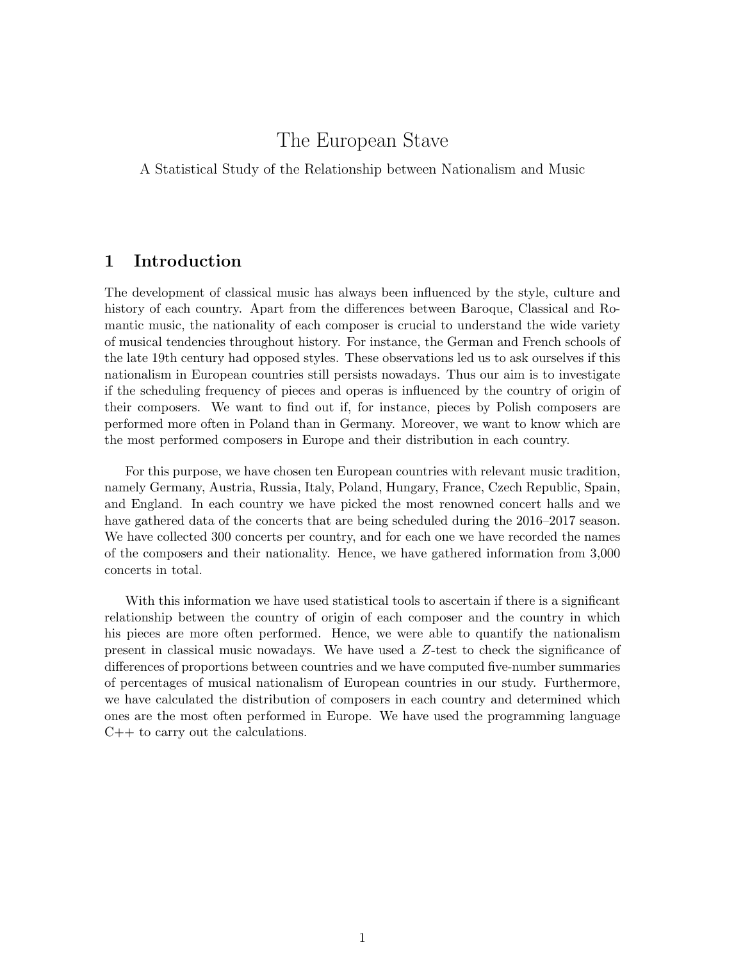# The European Stave

A Statistical Study of the Relationship between Nationalism and Music

### 1 Introduction

The development of classical music has always been influenced by the style, culture and history of each country. Apart from the differences between Baroque, Classical and Romantic music, the nationality of each composer is crucial to understand the wide variety of musical tendencies throughout history. For instance, the German and French schools of the late 19th century had opposed styles. These observations led us to ask ourselves if this nationalism in European countries still persists nowadays. Thus our aim is to investigate if the scheduling frequency of pieces and operas is influenced by the country of origin of their composers. We want to find out if, for instance, pieces by Polish composers are performed more often in Poland than in Germany. Moreover, we want to know which are the most performed composers in Europe and their distribution in each country.

For this purpose, we have chosen ten European countries with relevant music tradition, namely Germany, Austria, Russia, Italy, Poland, Hungary, France, Czech Republic, Spain, and England. In each country we have picked the most renowned concert halls and we have gathered data of the concerts that are being scheduled during the 2016–2017 season. We have collected 300 concerts per country, and for each one we have recorded the names of the composers and their nationality. Hence, we have gathered information from 3,000 concerts in total.

With this information we have used statistical tools to ascertain if there is a significant relationship between the country of origin of each composer and the country in which his pieces are more often performed. Hence, we were able to quantify the nationalism present in classical music nowadays. We have used a Z-test to check the significance of differences of proportions between countries and we have computed five-number summaries of percentages of musical nationalism of European countries in our study. Furthermore, we have calculated the distribution of composers in each country and determined which ones are the most often performed in Europe. We have used the programming language  $C++$  to carry out the calculations.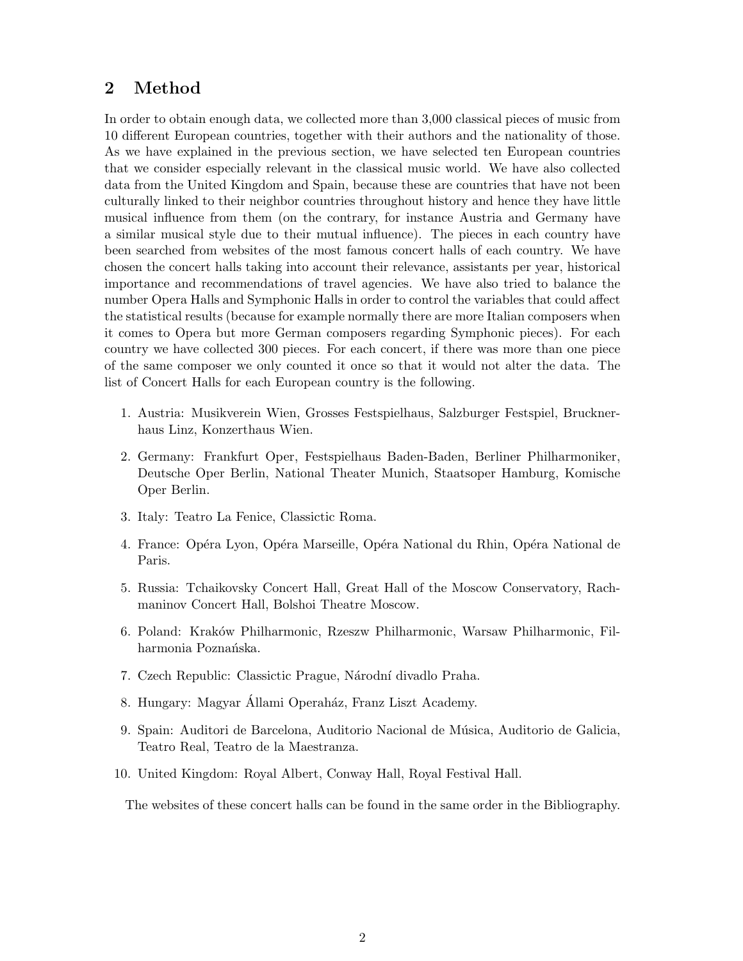# 2 Method

In order to obtain enough data, we collected more than 3,000 classical pieces of music from 10 different European countries, together with their authors and the nationality of those. As we have explained in the previous section, we have selected ten European countries that we consider especially relevant in the classical music world. We have also collected data from the United Kingdom and Spain, because these are countries that have not been culturally linked to their neighbor countries throughout history and hence they have little musical influence from them (on the contrary, for instance Austria and Germany have a similar musical style due to their mutual influence). The pieces in each country have been searched from websites of the most famous concert halls of each country. We have chosen the concert halls taking into account their relevance, assistants per year, historical importance and recommendations of travel agencies. We have also tried to balance the number Opera Halls and Symphonic Halls in order to control the variables that could affect the statistical results (because for example normally there are more Italian composers when it comes to Opera but more German composers regarding Symphonic pieces). For each country we have collected 300 pieces. For each concert, if there was more than one piece of the same composer we only counted it once so that it would not alter the data. The list of Concert Halls for each European country is the following.

- 1. Austria: Musikverein Wien, Grosses Festspielhaus, Salzburger Festspiel, Brucknerhaus Linz, Konzerthaus Wien.
- 2. Germany: Frankfurt Oper, Festspielhaus Baden-Baden, Berliner Philharmoniker, Deutsche Oper Berlin, National Theater Munich, Staatsoper Hamburg, Komische Oper Berlin.
- 3. Italy: Teatro La Fenice, Classictic Roma.
- 4. France: Opéra Lyon, Opéra Marseille, Opéra National du Rhin, Opéra National de Paris.
- 5. Russia: Tchaikovsky Concert Hall, Great Hall of the Moscow Conservatory, Rachmaninov Concert Hall, Bolshoi Theatre Moscow.
- 6. Poland: Krak´ow Philharmonic, Rzeszw Philharmonic, Warsaw Philharmonic, Filharmonia Poznańska.
- 7. Czech Republic: Classictic Prague, Národní divadlo Praha.
- 8. Hungary: Magyar Állami Operaház, Franz Liszt Academy.
- 9. Spain: Auditori de Barcelona, Auditorio Nacional de Música, Auditorio de Galicia, Teatro Real, Teatro de la Maestranza.
- 10. United Kingdom: Royal Albert, Conway Hall, Royal Festival Hall.

The websites of these concert halls can be found in the same order in the Bibliography.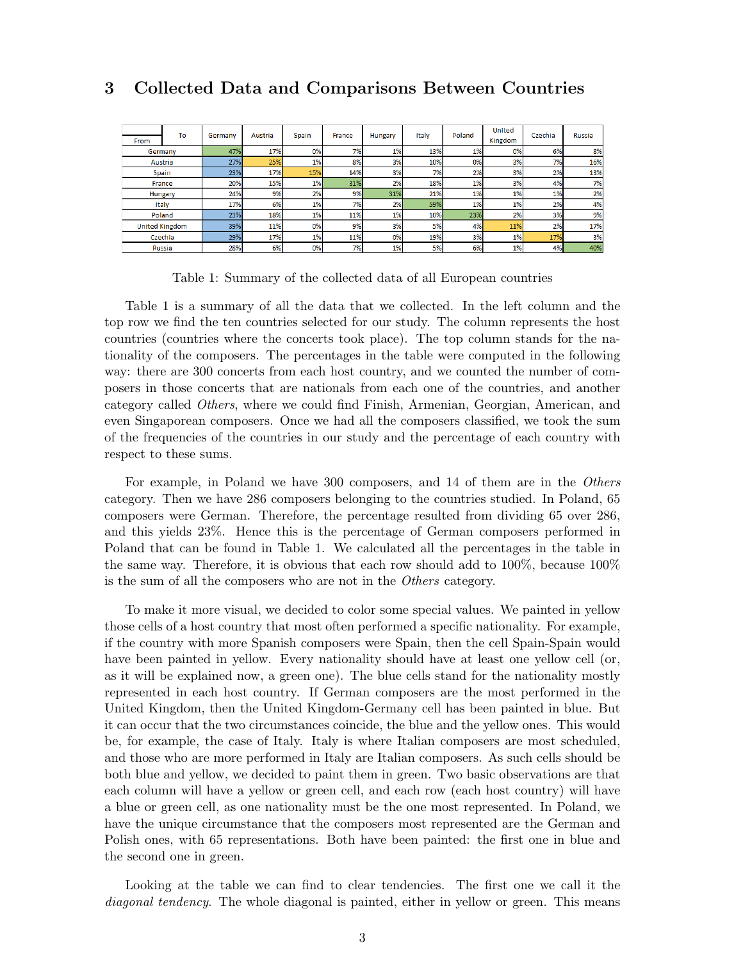### 3 Collected Data and Comparisons Between Countries

| From    | To                    | Germany | Austria | Spain | France | Hungary | Italy | Poland | <b>United</b><br>Kingdom | Czechia | <b>Russia</b> |
|---------|-----------------------|---------|---------|-------|--------|---------|-------|--------|--------------------------|---------|---------------|
| Germany |                       | 47%     | 17%     | 0%    | 7%     | 1%      | 13%   | 1%     | 0%                       | 6%      | 8%            |
|         | Austria               | 27%     | 25%     | 1%    | 8%     | 3%      | 10%   | 0%     | 3%                       | 7%      | 16%           |
|         | Spain                 | 23%     | 17%     | 15%   | 14%    | 3%      | 7%    | 2%     | 3%                       | 2%      | 13%           |
| France  |                       | 20%     | 15%     | 1%    | 31%    | 2%      | 18%   | 1%     | 3%                       | 4%      | 7%            |
| Hungary |                       | 24%     | 9%      | 2%    | 9%     | 31%     | 21%   | 1%     | 1%                       | 1%      | 2%            |
|         | Italy                 | 17%     | 6%      | 1%    | 7%     | 2%      | 59%   | 1%     | 1%                       | 2%      | 4%            |
|         | Poland                | 23%     | 18%     | 1%    | 11%    | 1%      | 10%   | 23%    | 2%                       | 3%      | 9%            |
|         | <b>United Kingdom</b> | 39%     | 11%     | 0%    | 9%     | 3%      | 5%    | 4%     | 11%                      | 2%      | 17%           |
|         | Czechia               | 29%     | 17%     | 1%    | 11%    | 0%      | 19%   | 3%     | 1%                       | 17%     | 3%            |
|         | <b>Russia</b>         | 28%     | 6%      | 0%    | 7%     | 1%      | 5%    | 6%     | 1%                       | 4%      | 40%           |

Table 1: Summary of the collected data of all European countries

Table 1 is a summary of all the data that we collected. In the left column and the top row we find the ten countries selected for our study. The column represents the host countries (countries where the concerts took place). The top column stands for the nationality of the composers. The percentages in the table were computed in the following way: there are 300 concerts from each host country, and we counted the number of composers in those concerts that are nationals from each one of the countries, and another category called Others, where we could find Finish, Armenian, Georgian, American, and even Singaporean composers. Once we had all the composers classified, we took the sum of the frequencies of the countries in our study and the percentage of each country with respect to these sums.

For example, in Poland we have 300 composers, and 14 of them are in the Others category. Then we have 286 composers belonging to the countries studied. In Poland, 65 composers were German. Therefore, the percentage resulted from dividing 65 over 286, and this yields 23%. Hence this is the percentage of German composers performed in Poland that can be found in Table 1. We calculated all the percentages in the table in the same way. Therefore, it is obvious that each row should add to 100%, because 100% is the sum of all the composers who are not in the Others category.

To make it more visual, we decided to color some special values. We painted in yellow those cells of a host country that most often performed a specific nationality. For example, if the country with more Spanish composers were Spain, then the cell Spain-Spain would have been painted in yellow. Every nationality should have at least one yellow cell (or, as it will be explained now, a green one). The blue cells stand for the nationality mostly represented in each host country. If German composers are the most performed in the United Kingdom, then the United Kingdom-Germany cell has been painted in blue. But it can occur that the two circumstances coincide, the blue and the yellow ones. This would be, for example, the case of Italy. Italy is where Italian composers are most scheduled, and those who are more performed in Italy are Italian composers. As such cells should be both blue and yellow, we decided to paint them in green. Two basic observations are that each column will have a yellow or green cell, and each row (each host country) will have a blue or green cell, as one nationality must be the one most represented. In Poland, we have the unique circumstance that the composers most represented are the German and Polish ones, with 65 representations. Both have been painted: the first one in blue and the second one in green.

Looking at the table we can find to clear tendencies. The first one we call it the diagonal tendency. The whole diagonal is painted, either in yellow or green. This means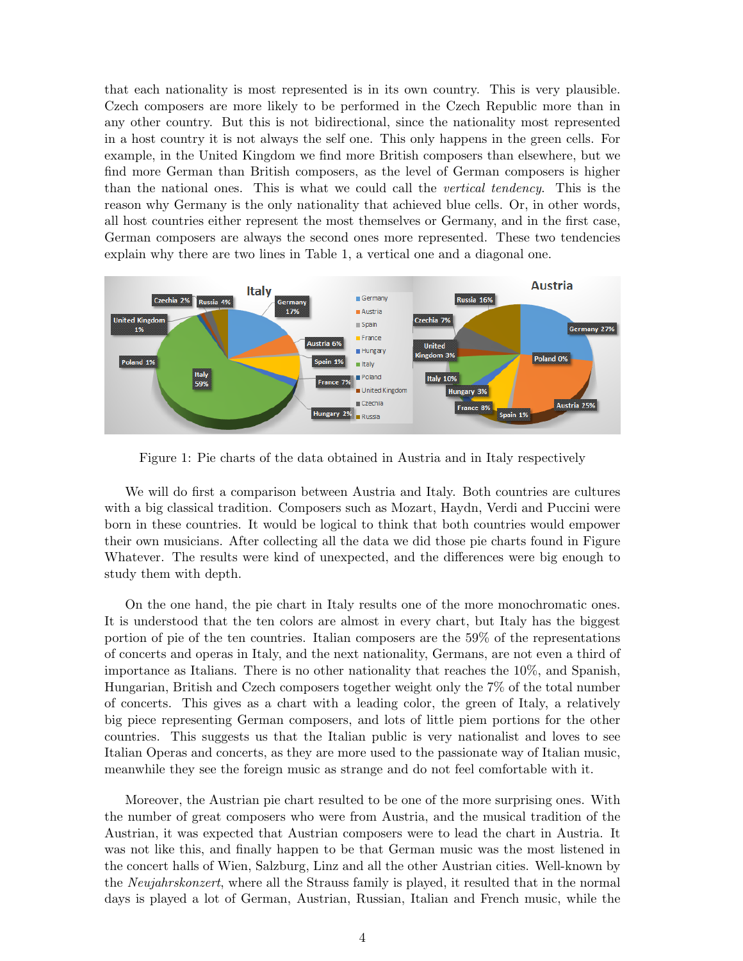that each nationality is most represented is in its own country. This is very plausible. Czech composers are more likely to be performed in the Czech Republic more than in any other country. But this is not bidirectional, since the nationality most represented in a host country it is not always the self one. This only happens in the green cells. For example, in the United Kingdom we find more British composers than elsewhere, but we find more German than British composers, as the level of German composers is higher than the national ones. This is what we could call the vertical tendency. This is the reason why Germany is the only nationality that achieved blue cells. Or, in other words, all host countries either represent the most themselves or Germany, and in the first case, German composers are always the second ones more represented. These two tendencies explain why there are two lines in Table 1, a vertical one and a diagonal one.



Figure 1: Pie charts of the data obtained in Austria and in Italy respectively

We will do first a comparison between Austria and Italy. Both countries are cultures with a big classical tradition. Composers such as Mozart, Haydn, Verdi and Puccini were born in these countries. It would be logical to think that both countries would empower their own musicians. After collecting all the data we did those pie charts found in Figure Whatever. The results were kind of unexpected, and the differences were big enough to study them with depth.

On the one hand, the pie chart in Italy results one of the more monochromatic ones. It is understood that the ten colors are almost in every chart, but Italy has the biggest portion of pie of the ten countries. Italian composers are the 59% of the representations of concerts and operas in Italy, and the next nationality, Germans, are not even a third of importance as Italians. There is no other nationality that reaches the 10%, and Spanish, Hungarian, British and Czech composers together weight only the 7% of the total number of concerts. This gives as a chart with a leading color, the green of Italy, a relatively big piece representing German composers, and lots of little piem portions for the other countries. This suggests us that the Italian public is very nationalist and loves to see Italian Operas and concerts, as they are more used to the passionate way of Italian music, meanwhile they see the foreign music as strange and do not feel comfortable with it.

Moreover, the Austrian pie chart resulted to be one of the more surprising ones. With the number of great composers who were from Austria, and the musical tradition of the Austrian, it was expected that Austrian composers were to lead the chart in Austria. It was not like this, and finally happen to be that German music was the most listened in the concert halls of Wien, Salzburg, Linz and all the other Austrian cities. Well-known by the Neujahrskonzert, where all the Strauss family is played, it resulted that in the normal days is played a lot of German, Austrian, Russian, Italian and French music, while the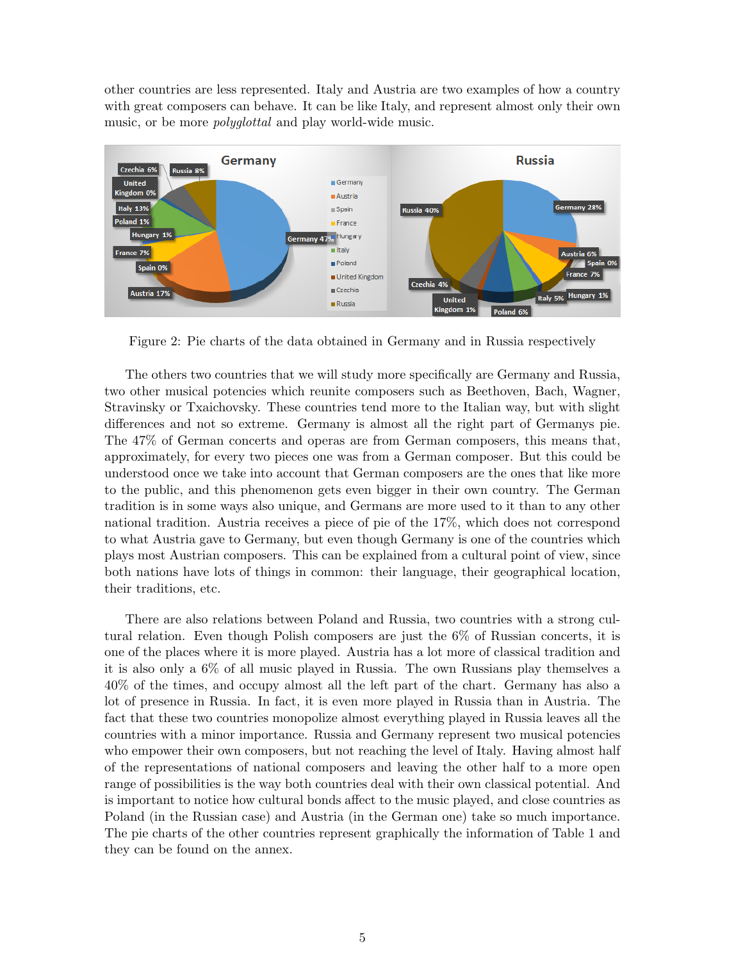other countries are less represented. Italy and Austria are two examples of how a country with great composers can behave. It can be like Italy, and represent almost only their own music, or be more *polyglottal* and play world-wide music.



Figure 2: Pie charts of the data obtained in Germany and in Russia respectively

The others two countries that we will study more specifically are Germany and Russia, two other musical potencies which reunite composers such as Beethoven, Bach, Wagner, Stravinsky or Txaichovsky. These countries tend more to the Italian way, but with slight differences and not so extreme. Germany is almost all the right part of Germanys pie. The 47% of German concerts and operas are from German composers, this means that, approximately, for every two pieces one was from a German composer. But this could be understood once we take into account that German composers are the ones that like more to the public, and this phenomenon gets even bigger in their own country. The German tradition is in some ways also unique, and Germans are more used to it than to any other national tradition. Austria receives a piece of pie of the 17%, which does not correspond to what Austria gave to Germany, but even though Germany is one of the countries which plays most Austrian composers. This can be explained from a cultural point of view, since both nations have lots of things in common: their language, their geographical location, their traditions, etc.

There are also relations between Poland and Russia, two countries with a strong cultural relation. Even though Polish composers are just the 6% of Russian concerts, it is one of the places where it is more played. Austria has a lot more of classical tradition and it is also only a 6% of all music played in Russia. The own Russians play themselves a 40% of the times, and occupy almost all the left part of the chart. Germany has also a lot of presence in Russia. In fact, it is even more played in Russia than in Austria. The fact that these two countries monopolize almost everything played in Russia leaves all the countries with a minor importance. Russia and Germany represent two musical potencies who empower their own composers, but not reaching the level of Italy. Having almost half of the representations of national composers and leaving the other half to a more open range of possibilities is the way both countries deal with their own classical potential. And is important to notice how cultural bonds affect to the music played, and close countries as Poland (in the Russian case) and Austria (in the German one) take so much importance. The pie charts of the other countries represent graphically the information of Table 1 and they can be found on the annex.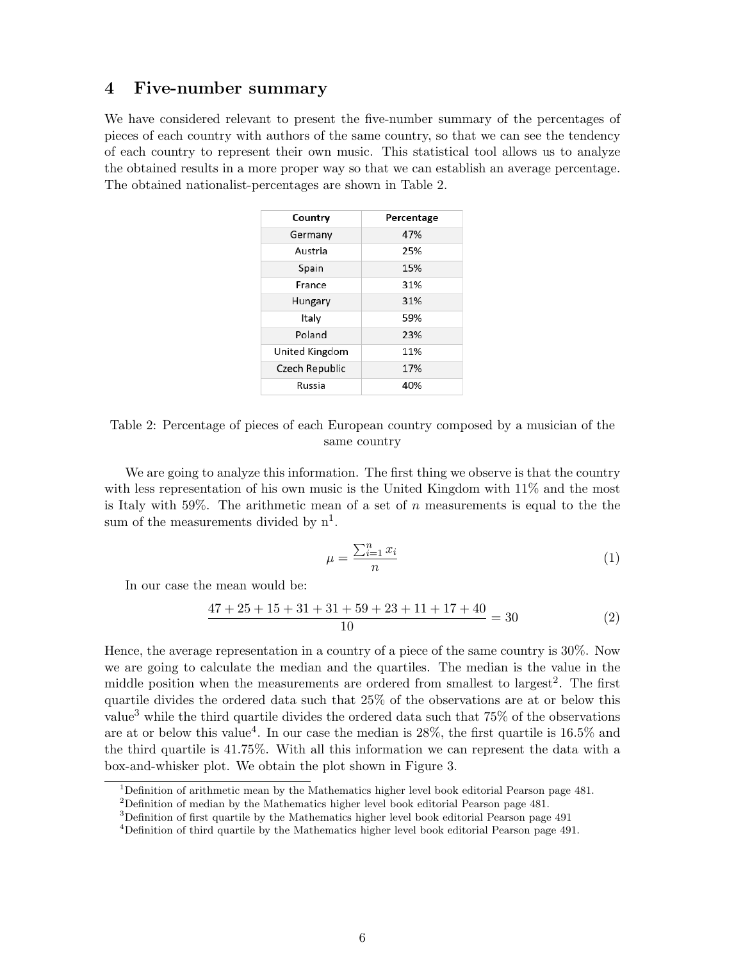### 4 Five-number summary

We have considered relevant to present the five-number summary of the percentages of pieces of each country with authors of the same country, so that we can see the tendency of each country to represent their own music. This statistical tool allows us to analyze the obtained results in a more proper way so that we can establish an average percentage. The obtained nationalist-percentages are shown in Table 2.

| Country        | Percentage |
|----------------|------------|
| Germany        | 47%        |
| Austria        | 25%        |
| Spain          | 15%        |
| France         | 31%        |
| Hungary        | 31%        |
| Italy          | 59%        |
| Poland         | 23%        |
| United Kingdom | 11%        |
| Czech Republic | 17%        |
| Russia         | 40%        |
|                |            |

Table 2: Percentage of pieces of each European country composed by a musician of the same country

We are going to analyze this information. The first thing we observe is that the country with less representation of his own music is the United Kingdom with 11% and the most is Italy with 59%. The arithmetic mean of a set of n measurements is equal to the the sum of the measurements divided by  $n^1$ .

$$
\mu = \frac{\sum_{i=1}^{n} x_i}{n} \tag{1}
$$

In our case the mean would be:

$$
\frac{47 + 25 + 15 + 31 + 31 + 59 + 23 + 11 + 17 + 40}{10} = 30
$$
 (2)

Hence, the average representation in a country of a piece of the same country is 30%. Now we are going to calculate the median and the quartiles. The median is the value in the middle position when the measurements are ordered from smallest to largest<sup>2</sup>. The first quartile divides the ordered data such that 25% of the observations are at or below this value<sup>3</sup> while the third quartile divides the ordered data such that 75% of the observations are at or below this value<sup>4</sup>. In our case the median is  $28\%$ , the first quartile is  $16.5\%$  and the third quartile is 41.75%. With all this information we can represent the data with a box-and-whisker plot. We obtain the plot shown in Figure 3.

<sup>&</sup>lt;sup>1</sup>Definition of arithmetic mean by the Mathematics higher level book editorial Pearson page  $481$ .

<sup>2</sup>Definition of median by the Mathematics higher level book editorial Pearson page 481.

<sup>3</sup>Definition of first quartile by the Mathematics higher level book editorial Pearson page 491

<sup>4</sup>Definition of third quartile by the Mathematics higher level book editorial Pearson page 491.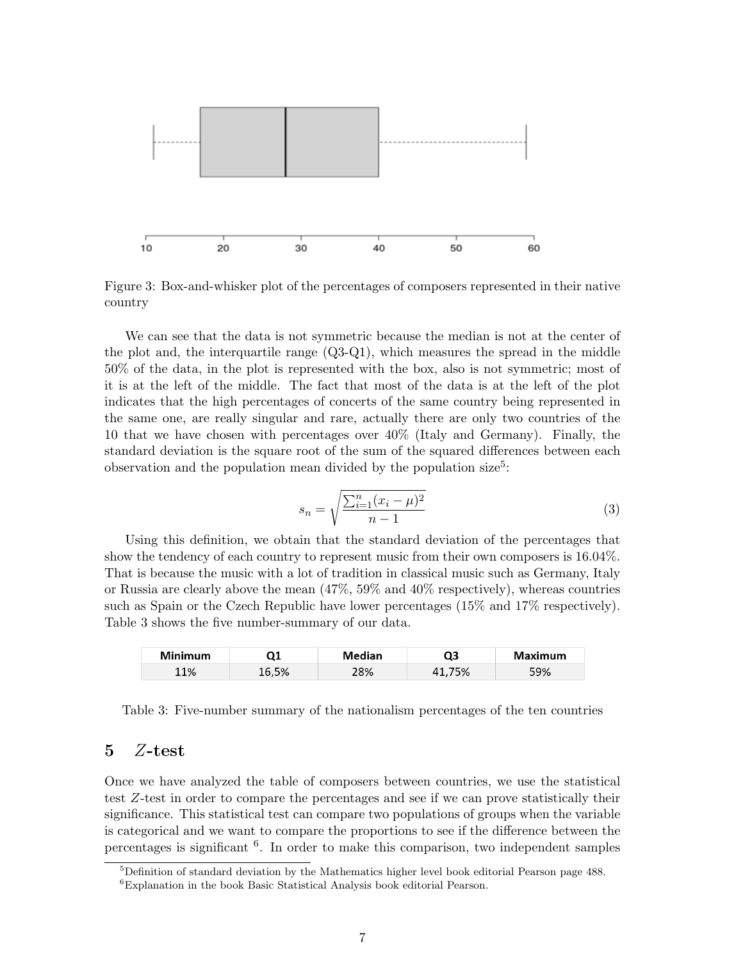

Figure 3: Box-and-whisker plot of the percentages of composers represented in their native country

We can see that the data is not symmetric because the median is not at the center of the plot and, the interquartile range (Q3-Q1), which measures the spread in the middle 50% of the data, in the plot is represented with the box, also is not symmetric; most of it is at the left of the middle. The fact that most of the data is at the left of the plot indicates that the high percentages of concerts of the same country being represented in the same one, are really singular and rare, actually there are only two countries of the 10 that we have chosen with percentages over 40% (Italy and Germany). Finally, the standard deviation is the square root of the sum of the squared differences between each observation and the population mean divided by the population size<sup>5</sup>:

$$
s_n = \sqrt{\frac{\sum_{i=1}^n (x_i - \mu)^2}{n - 1}}\tag{3}
$$

Using this definition, we obtain that the standard deviation of the percentages that show the tendency of each country to represent music from their own composers is 16.04%. That is because the music with a lot of tradition in classical music such as Germany, Italy or Russia are clearly above the mean (47%, 59% and 40% respectively), whereas countries such as Spain or the Czech Republic have lower percentages (15% and 17% respectively). Table 3 shows the five number-summary of our data.

| <b>Minimum</b> |      | Median | 23  | Maximum |
|----------------|------|--------|-----|---------|
| 11%            | 6,5% | 28%    | '5% | 59%     |

Table 3: Five-number summary of the nationalism percentages of the ten countries

#### 5 Z-test

Once we have analyzed the table of composers between countries, we use the statistical test Z-test in order to compare the percentages and see if we can prove statistically their significance. This statistical test can compare two populations of groups when the variable is categorical and we want to compare the proportions to see if the difference between the percentages is significant <sup>6</sup> . In order to make this comparison, two independent samples

 $5$ Definition of standard deviation by the Mathematics higher level book editorial Pearson page 488. <sup>6</sup>Explanation in the book Basic Statistical Analysis book editorial Pearson.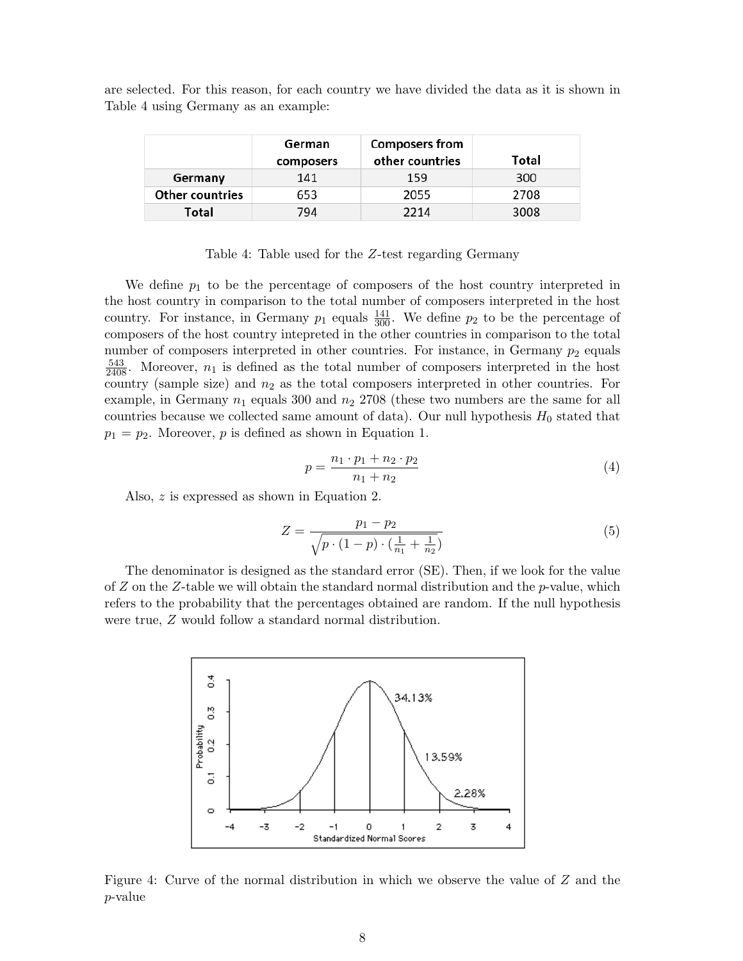are selected. For this reason, for each country we have divided the data as it is shown in Table 4 using Germany as an example:

|                        | German<br>composers | <b>Composers from</b><br>other countries | Total |
|------------------------|---------------------|------------------------------------------|-------|
| Germany                | 141                 | 159                                      | 300   |
| <b>Other countries</b> | 653                 | 2055                                     | 2708  |
| Total                  | 794                 | 2214                                     | 3008  |

Table 4: Table used for the Z-test regarding Germany

We define  $p_1$  to be the percentage of composers of the host country interpreted in the host country in comparison to the total number of composers interpreted in the host country. For instance, in Germany  $p_1$  equals  $\frac{141}{300}$ . We define  $p_2$  to be the percentage of composers of the host country intepreted in the other countries in comparison to the total number of composers interpreted in other countries. For instance, in Germany  $p_2$  equals  $\frac{543}{2408}$ . Moreover,  $n_1$  is defined as the total number of composers interpreted in the host country (sample size) and  $n_2$  as the total composers interpreted in other countries. For example, in Germany  $n_1$  equals 300 and  $n_2$  2708 (these two numbers are the same for all countries because we collected same amount of data). Our null hypothesis  $H_0$  stated that  $p_1 = p_2$ . Moreover, p is defined as shown in Equation 1.

$$
p = \frac{n_1 \cdot p_1 + n_2 \cdot p_2}{n_1 + n_2} \tag{4}
$$

Also, z is expressed as shown in Equation 2.

$$
Z = \frac{p_1 - p_2}{\sqrt{p \cdot (1 - p) \cdot (\frac{1}{n_1} + \frac{1}{n_2})}}
$$
(5)

The denominator is designed as the standard error (SE). Then, if we look for the value of  $Z$  on the  $Z$ -table we will obtain the standard normal distribution and the  $p$ -value, which refers to the probability that the percentages obtained are random. If the null hypothesis were true, Z would follow a standard normal distribution.



Figure 4: Curve of the normal distribution in which we observe the value of Z and the p-value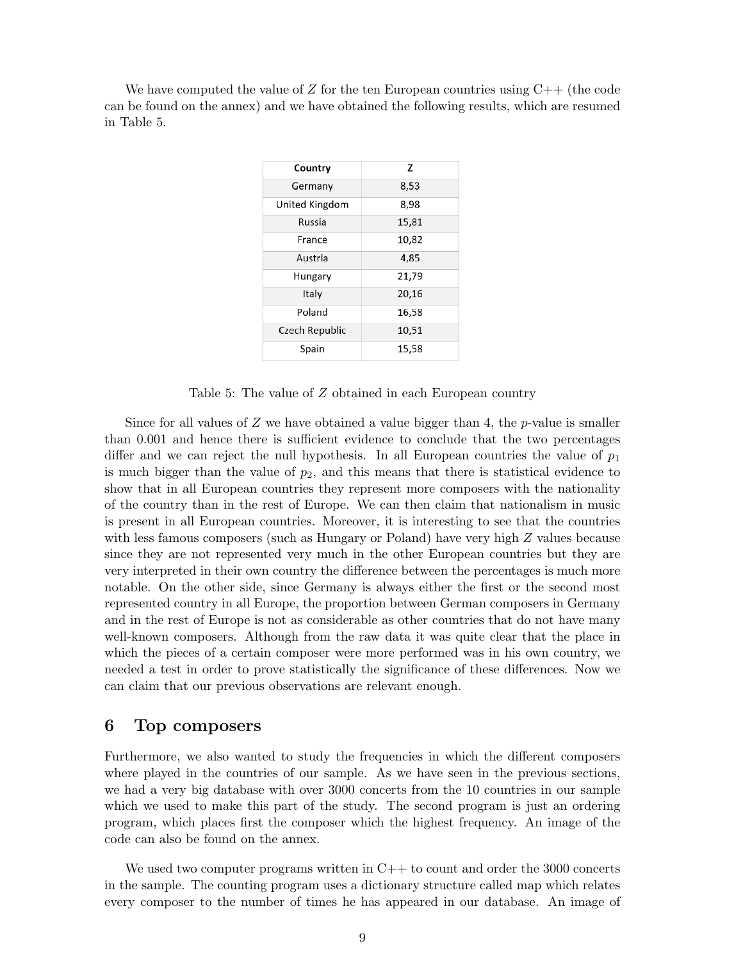We have computed the value of Z for the ten European countries using  $C_{++}$  (the code can be found on the annex) and we have obtained the following results, which are resumed in Table 5.

| Country        | z     |
|----------------|-------|
| Germany        | 8,53  |
| United Kingdom | 8,98  |
| Russia         | 15,81 |
| France         | 10,82 |
| Austria        | 4,85  |
| Hungary        | 21,79 |
| Italy          | 20,16 |
| Poland         | 16,58 |
| Czech Republic | 10,51 |
| Spain          | 15,58 |
|                |       |

Table 5: The value of Z obtained in each European country

Since for all values of  $Z$  we have obtained a value bigger than 4, the p-value is smaller than 0.001 and hence there is sufficient evidence to conclude that the two percentages differ and we can reject the null hypothesis. In all European countries the value of  $p_1$ is much bigger than the value of  $p_2$ , and this means that there is statistical evidence to show that in all European countries they represent more composers with the nationality of the country than in the rest of Europe. We can then claim that nationalism in music is present in all European countries. Moreover, it is interesting to see that the countries with less famous composers (such as Hungary or Poland) have very high Z values because since they are not represented very much in the other European countries but they are very interpreted in their own country the difference between the percentages is much more notable. On the other side, since Germany is always either the first or the second most represented country in all Europe, the proportion between German composers in Germany and in the rest of Europe is not as considerable as other countries that do not have many well-known composers. Although from the raw data it was quite clear that the place in which the pieces of a certain composer were more performed was in his own country, we needed a test in order to prove statistically the significance of these differences. Now we can claim that our previous observations are relevant enough.

# 6 Top composers

Furthermore, we also wanted to study the frequencies in which the different composers where played in the countries of our sample. As we have seen in the previous sections, we had a very big database with over 3000 concerts from the 10 countries in our sample which we used to make this part of the study. The second program is just an ordering program, which places first the composer which the highest frequency. An image of the code can also be found on the annex.

We used two computer programs written in  $C++$  to count and order the 3000 concerts in the sample. The counting program uses a dictionary structure called map which relates every composer to the number of times he has appeared in our database. An image of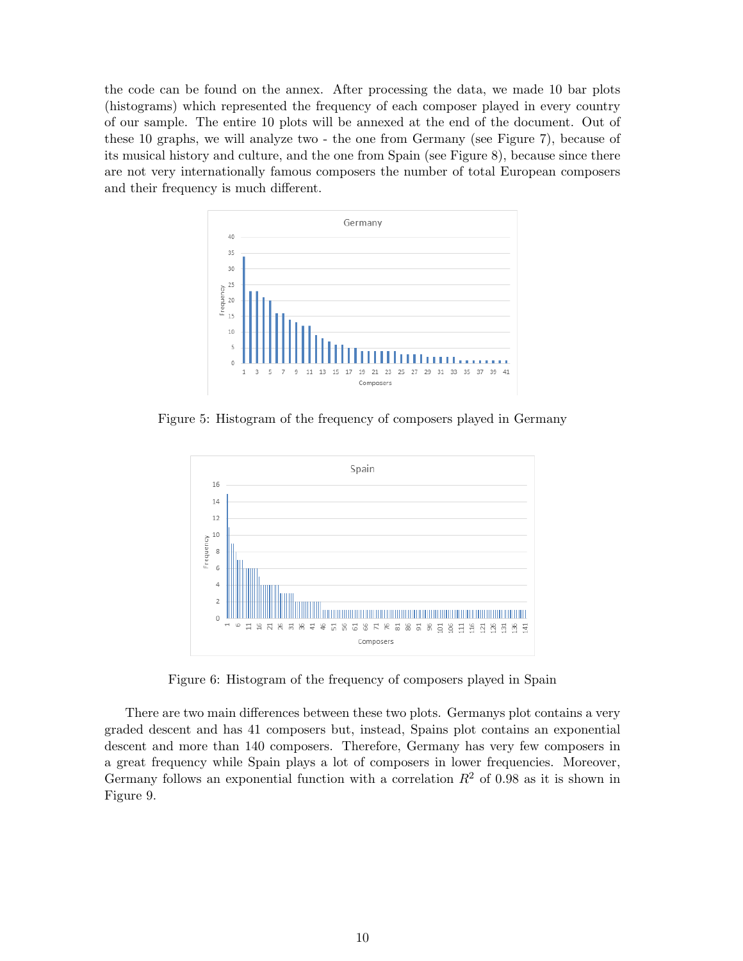the code can be found on the annex. After processing the data, we made 10 bar plots (histograms) which represented the frequency of each composer played in every country of our sample. The entire 10 plots will be annexed at the end of the document. Out of these 10 graphs, we will analyze two - the one from Germany (see Figure 7), because of its musical history and culture, and the one from Spain (see Figure 8), because since there are not very internationally famous composers the number of total European composers and their frequency is much different.



Figure 5: Histogram of the frequency of composers played in Germany



Figure 6: Histogram of the frequency of composers played in Spain

There are two main differences between these two plots. Germanys plot contains a very graded descent and has 41 composers but, instead, Spains plot contains an exponential descent and more than 140 composers. Therefore, Germany has very few composers in a great frequency while Spain plays a lot of composers in lower frequencies. Moreover, Germany follows an exponential function with a correlation  $R^2$  of 0.98 as it is shown in Figure 9.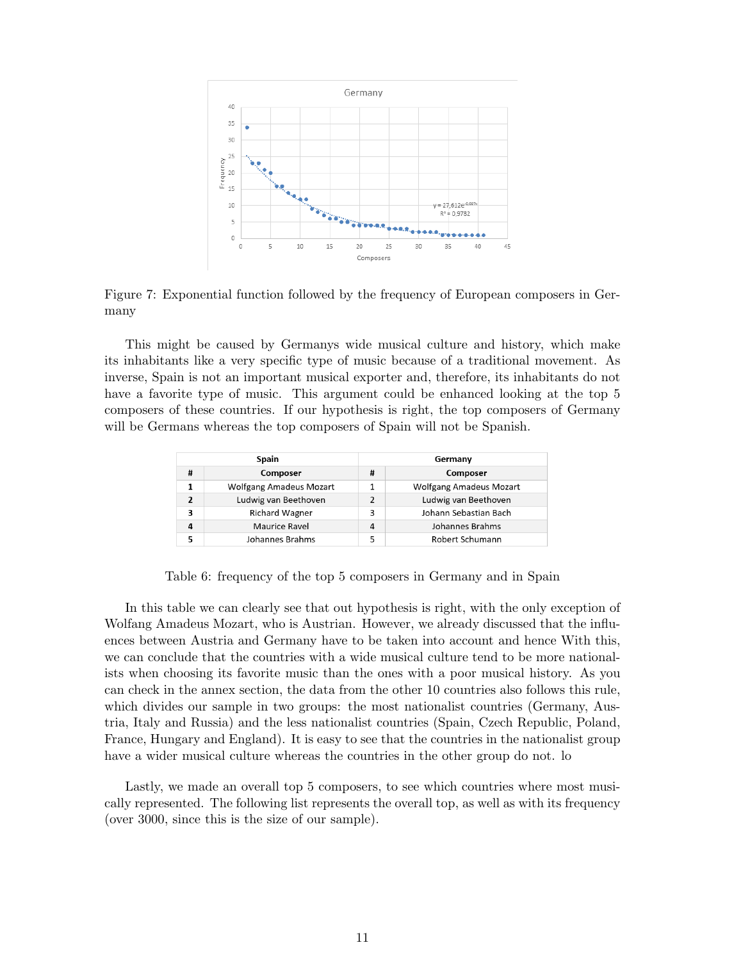

Figure 7: Exponential function followed by the frequency of European composers in Germany

This might be caused by Germanys wide musical culture and history, which make its inhabitants like a very specific type of music because of a traditional movement. As inverse, Spain is not an important musical exporter and, therefore, its inhabitants do not have a favorite type of music. This argument could be enhanced looking at the top 5 composers of these countries. If our hypothesis is right, the top composers of Germany will be Germans whereas the top composers of Spain will not be Spanish.

| <b>Spain</b>            |                         |                | Germany                        |  |  |
|-------------------------|-------------------------|----------------|--------------------------------|--|--|
| #                       | Composer                |                | Composer                       |  |  |
|                         | Wolfgang Amadeus Mozart |                | <b>Wolfgang Amadeus Mozart</b> |  |  |
| $\overline{\mathbf{z}}$ | Ludwig van Beethoven    | $\overline{2}$ | Ludwig van Beethoven           |  |  |
| 3                       | <b>Richard Wagner</b>   | 3              | Johann Sebastian Bach          |  |  |
| 4                       | Maurice Ravel           | 4              | Johannes Brahms                |  |  |
|                         | Johannes Brahms         | 5              | Robert Schumann                |  |  |

Table 6: frequency of the top 5 composers in Germany and in Spain

In this table we can clearly see that out hypothesis is right, with the only exception of Wolfang Amadeus Mozart, who is Austrian. However, we already discussed that the influences between Austria and Germany have to be taken into account and hence With this, we can conclude that the countries with a wide musical culture tend to be more nationalists when choosing its favorite music than the ones with a poor musical history. As you can check in the annex section, the data from the other 10 countries also follows this rule, which divides our sample in two groups: the most nationalist countries (Germany, Austria, Italy and Russia) and the less nationalist countries (Spain, Czech Republic, Poland, France, Hungary and England). It is easy to see that the countries in the nationalist group have a wider musical culture whereas the countries in the other group do not. lo

Lastly, we made an overall top 5 composers, to see which countries where most musically represented. The following list represents the overall top, as well as with its frequency (over 3000, since this is the size of our sample).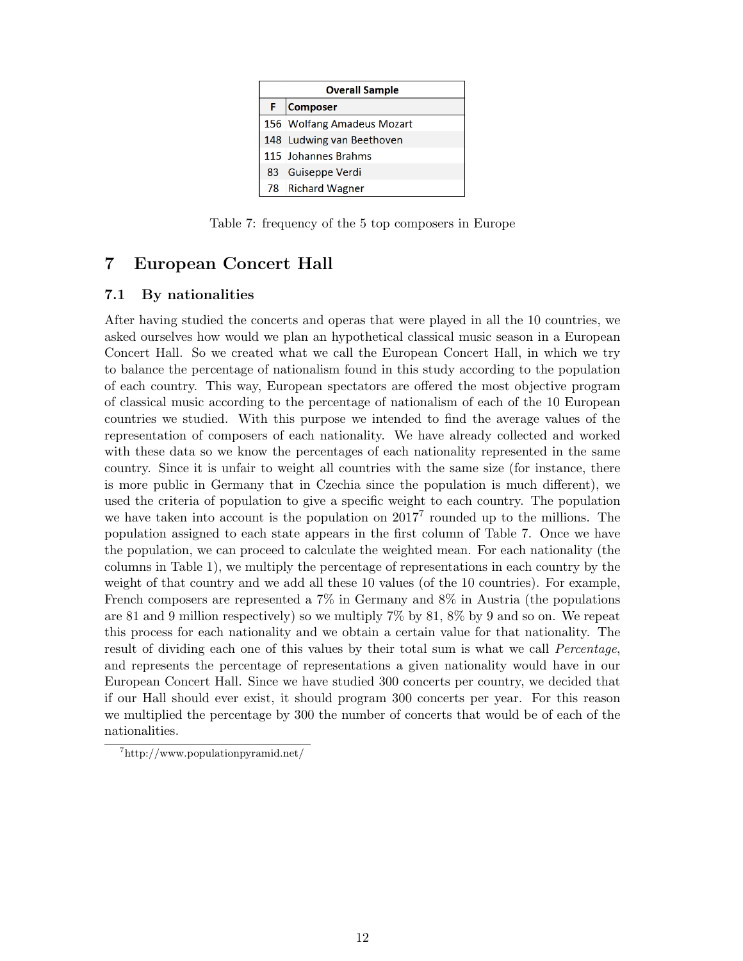| <b>Overall Sample</b> |                            |  |  |  |
|-----------------------|----------------------------|--|--|--|
| F                     | Composer                   |  |  |  |
|                       | 156 Wolfang Amadeus Mozart |  |  |  |
|                       | 148 Ludwing van Beethoven  |  |  |  |
|                       | 115 Johannes Brahms        |  |  |  |
|                       | 83 Guiseppe Verdi          |  |  |  |
|                       | 78 Richard Wagner          |  |  |  |

Table 7: frequency of the 5 top composers in Europe

# 7 European Concert Hall

#### 7.1 By nationalities

After having studied the concerts and operas that were played in all the 10 countries, we asked ourselves how would we plan an hypothetical classical music season in a European Concert Hall. So we created what we call the European Concert Hall, in which we try to balance the percentage of nationalism found in this study according to the population of each country. This way, European spectators are offered the most objective program of classical music according to the percentage of nationalism of each of the 10 European countries we studied. With this purpose we intended to find the average values of the representation of composers of each nationality. We have already collected and worked with these data so we know the percentages of each nationality represented in the same country. Since it is unfair to weight all countries with the same size (for instance, there is more public in Germany that in Czechia since the population is much different), we used the criteria of population to give a specific weight to each country. The population we have taken into account is the population on  $2017<sup>7</sup>$  rounded up to the millions. The population assigned to each state appears in the first column of Table 7. Once we have the population, we can proceed to calculate the weighted mean. For each nationality (the columns in Table 1), we multiply the percentage of representations in each country by the weight of that country and we add all these 10 values (of the 10 countries). For example, French composers are represented a 7% in Germany and 8% in Austria (the populations are 81 and 9 million respectively) so we multiply  $7\%$  by  $81, 8\%$  by 9 and so on. We repeat this process for each nationality and we obtain a certain value for that nationality. The result of dividing each one of this values by their total sum is what we call Percentage, and represents the percentage of representations a given nationality would have in our European Concert Hall. Since we have studied 300 concerts per country, we decided that if our Hall should ever exist, it should program 300 concerts per year. For this reason we multiplied the percentage by 300 the number of concerts that would be of each of the nationalities.

<sup>7</sup>http://www.populationpyramid.net/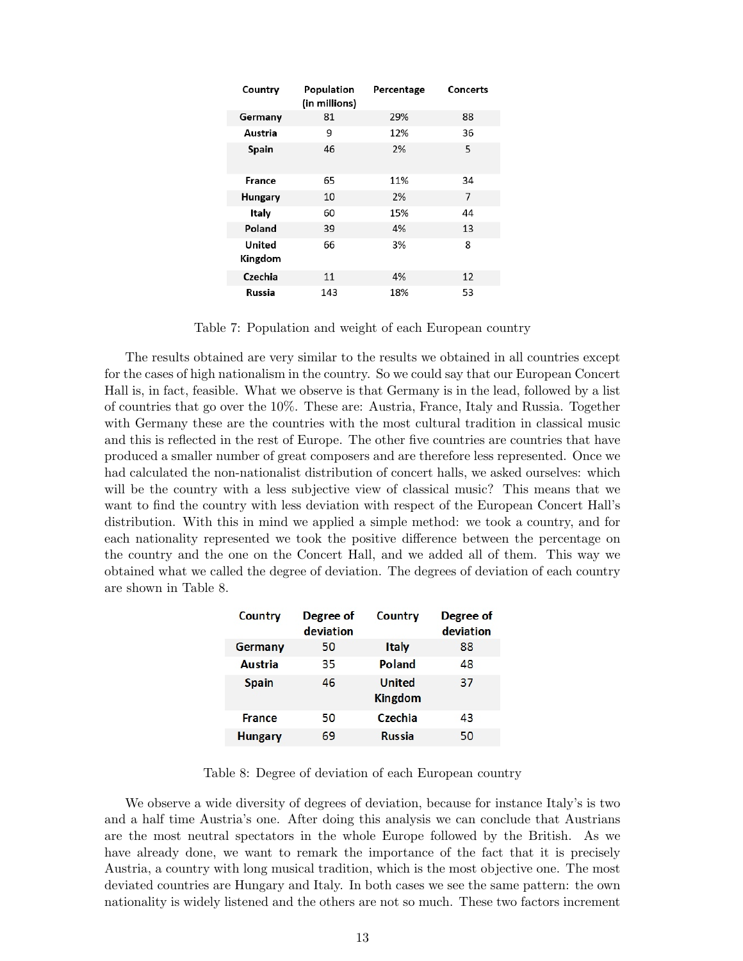| Country           | Population<br>(in millions) | Percentage | Concerts |
|-------------------|-----------------------------|------------|----------|
| Germany           | 81                          | 29%        | 88       |
| Austria           | 9                           | 12%        | 36       |
| Spain             | 46                          | 2%         | 5        |
| France            | 65                          | 11%        | 34       |
| Hungary           | 10                          | 2%         | 7        |
| Italy             | 60                          | 15%        | 44       |
| Poland            | 39                          | 4%         | 13       |
| United<br>Kingdom | 66                          | 3%         | 8        |
| Czechia           | 11                          | 4%         | 12       |
| Russia            | 143                         | 18%        | 53       |

Table 7: Population and weight of each European country

The results obtained are very similar to the results we obtained in all countries except for the cases of high nationalism in the country. So we could say that our European Concert Hall is, in fact, feasible. What we observe is that Germany is in the lead, followed by a list of countries that go over the 10%. These are: Austria, France, Italy and Russia. Together with Germany these are the countries with the most cultural tradition in classical music and this is reflected in the rest of Europe. The other five countries are countries that have produced a smaller number of great composers and are therefore less represented. Once we had calculated the non-nationalist distribution of concert halls, we asked ourselves: which will be the country with a less subjective view of classical music? This means that we want to find the country with less deviation with respect of the European Concert Hall's distribution. With this in mind we applied a simple method: we took a country, and for each nationality represented we took the positive difference between the percentage on the country and the one on the Concert Hall, and we added all of them. This way we obtained what we called the degree of deviation. The degrees of deviation of each country are shown in Table 8.

| Country        | Degree of<br>deviation | Country                  | Degree of<br>deviation |
|----------------|------------------------|--------------------------|------------------------|
| Germany        | 50                     | <b>Italy</b>             | 88                     |
| Austria        | 35                     | Poland                   | 48                     |
| <b>Spain</b>   | 46                     | United<br><b>Kingdom</b> | 37                     |
| <b>France</b>  | 50                     | Czechia                  | 43                     |
| <b>Hungary</b> | 69                     | <b>Russia</b>            | 50                     |

Table 8: Degree of deviation of each European country

We observe a wide diversity of degrees of deviation, because for instance Italy's is two and a half time Austria's one. After doing this analysis we can conclude that Austrians are the most neutral spectators in the whole Europe followed by the British. As we have already done, we want to remark the importance of the fact that it is precisely Austria, a country with long musical tradition, which is the most objective one. The most deviated countries are Hungary and Italy. In both cases we see the same pattern: the own nationality is widely listened and the others are not so much. These two factors increment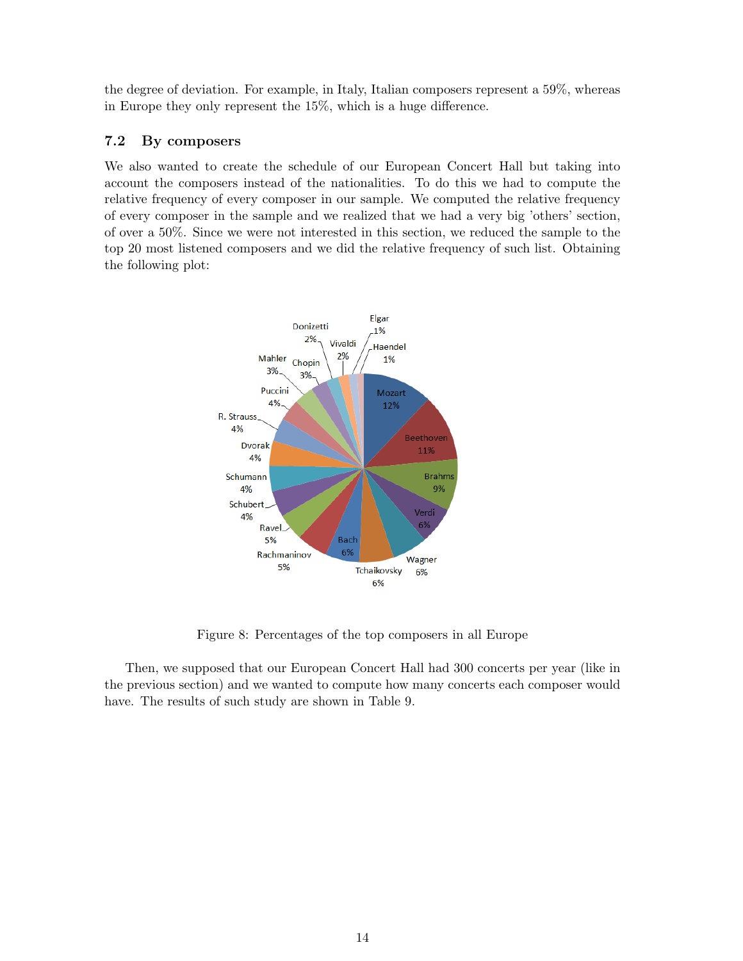the degree of deviation. For example, in Italy, Italian composers represent a 59%, whereas in Europe they only represent the 15%, which is a huge difference.

#### 7.2 By composers

We also wanted to create the schedule of our European Concert Hall but taking into account the composers instead of the nationalities. To do this we had to compute the relative frequency of every composer in our sample. We computed the relative frequency of every composer in the sample and we realized that we had a very big 'others' section, of over a 50%. Since we were not interested in this section, we reduced the sample to the top 20 most listened composers and we did the relative frequency of such list. Obtaining the following plot:



Figure 8: Percentages of the top composers in all Europe

Then, we supposed that our European Concert Hall had 300 concerts per year (like in the previous section) and we wanted to compute how many concerts each composer would have. The results of such study are shown in Table 9.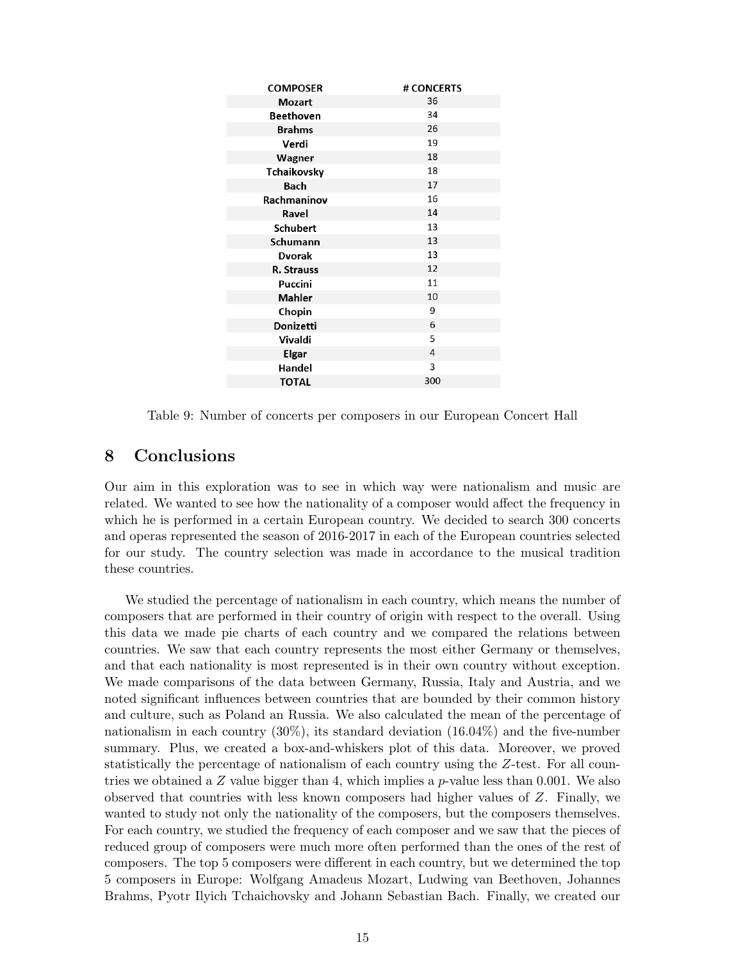| <b>COMPOSER</b> | # CONCERTS |
|-----------------|------------|
| Mozart          | 36         |
| Beethoven       | 34         |
| <b>Brahms</b>   | 26         |
| Verdi           | 19         |
| Wagner          | 18         |
| Tchaikovsky     | 18         |
| Bach            | 17         |
| Rachmaninov     | 16         |
| Ravel           | 14         |
| Schubert        | 13         |
| Schumann        | 13         |
| <b>Dvorak</b>   | 13         |
| R. Strauss      | 12         |
| Puccini         | 11         |
| <b>Mahler</b>   | 10         |
| Chopin          | 9          |
| Donizetti       | 6          |
| Vivaldi         | 5          |
| Elgar           | 4          |
| Handel          | 3          |
| <b>TOTAL</b>    | 300        |
|                 |            |

Table 9: Number of concerts per composers in our European Concert Hall

# 8 Conclusions

Our aim in this exploration was to see in which way were nationalism and music are related. We wanted to see how the nationality of a composer would affect the frequency in which he is performed in a certain European country. We decided to search 300 concerts and operas represented the season of 2016-2017 in each of the European countries selected for our study. The country selection was made in accordance to the musical tradition these countries.

We studied the percentage of nationalism in each country, which means the number of composers that are performed in their country of origin with respect to the overall. Using this data we made pie charts of each country and we compared the relations between countries. We saw that each country represents the most either Germany or themselves, and that each nationality is most represented is in their own country without exception. We made comparisons of the data between Germany, Russia, Italy and Austria, and we noted significant influences between countries that are bounded by their common history and culture, such as Poland an Russia. We also calculated the mean of the percentage of nationalism in each country (30%), its standard deviation (16.04%) and the five-number summary. Plus, we created a box-and-whiskers plot of this data. Moreover, we proved statistically the percentage of nationalism of each country using the Z-test. For all countries we obtained a  $Z$  value bigger than 4, which implies a  $p$ -value less than 0.001. We also observed that countries with less known composers had higher values of Z. Finally, we wanted to study not only the nationality of the composers, but the composers themselves. For each country, we studied the frequency of each composer and we saw that the pieces of reduced group of composers were much more often performed than the ones of the rest of composers. The top 5 composers were different in each country, but we determined the top 5 composers in Europe: Wolfgang Amadeus Mozart, Ludwing van Beethoven, Johannes Brahms, Pyotr Ilyich Tchaichovsky and Johann Sebastian Bach. Finally, we created our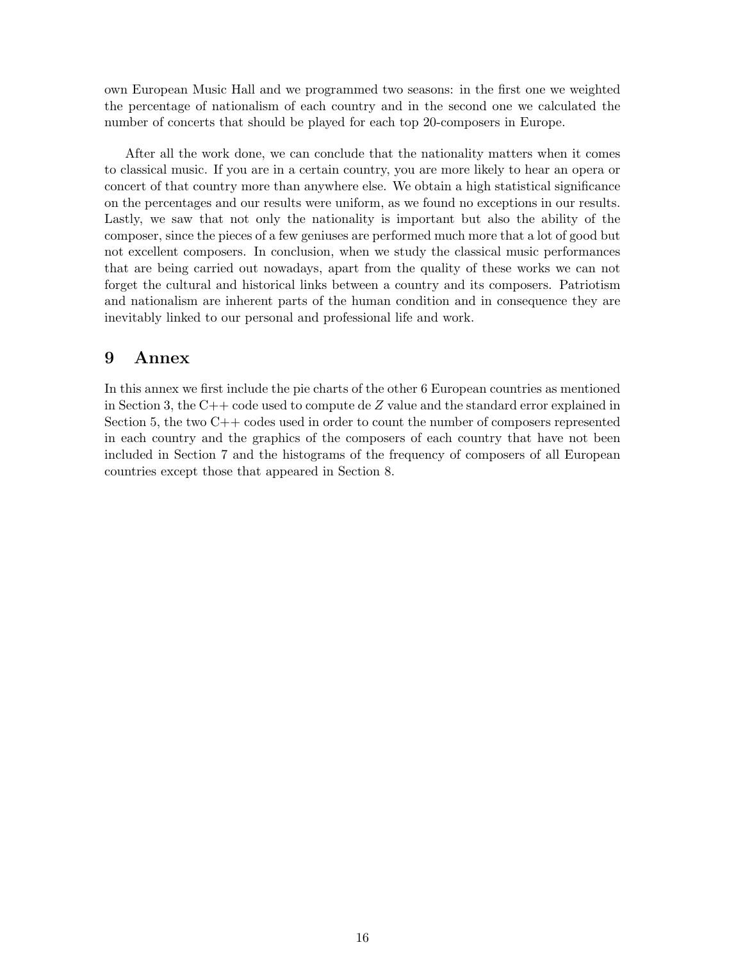own European Music Hall and we programmed two seasons: in the first one we weighted the percentage of nationalism of each country and in the second one we calculated the number of concerts that should be played for each top 20-composers in Europe.

After all the work done, we can conclude that the nationality matters when it comes to classical music. If you are in a certain country, you are more likely to hear an opera or concert of that country more than anywhere else. We obtain a high statistical significance on the percentages and our results were uniform, as we found no exceptions in our results. Lastly, we saw that not only the nationality is important but also the ability of the composer, since the pieces of a few geniuses are performed much more that a lot of good but not excellent composers. In conclusion, when we study the classical music performances that are being carried out nowadays, apart from the quality of these works we can not forget the cultural and historical links between a country and its composers. Patriotism and nationalism are inherent parts of the human condition and in consequence they are inevitably linked to our personal and professional life and work.

# 9 Annex

In this annex we first include the pie charts of the other 6 European countries as mentioned in Section 3, the  $C++$  code used to compute de Z value and the standard error explained in Section 5, the two  $C_{++}$  codes used in order to count the number of composers represented in each country and the graphics of the composers of each country that have not been included in Section 7 and the histograms of the frequency of composers of all European countries except those that appeared in Section 8.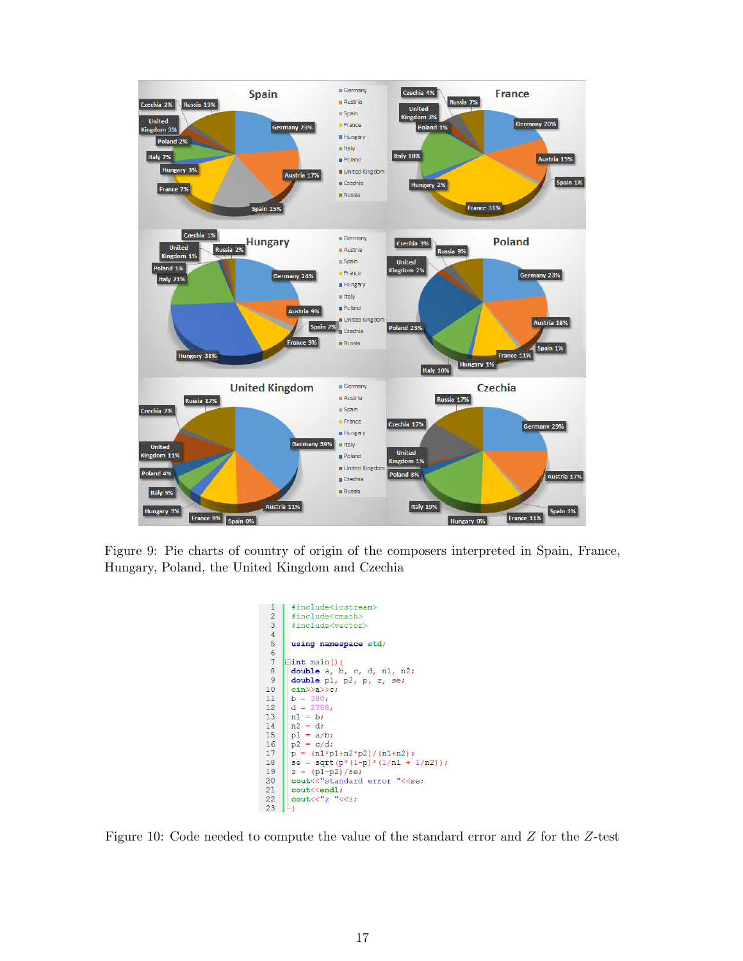

Figure 9: Pie charts of country of origin of the composers interpreted in Spain, France, Hungary, Poland, the United Kingdom and Czechia

```
#include<iostream>
 \overline{1}\overline{c}#include<cmath>
 \overline{\mathbf{3}}#include<vector>
 \overline{4}\overline{5}using namespace std;
 \begin{array}{c} 6 \\ 7 \\ 8 \end{array}\existsint main(){
        double a, b, c, d, n1, n2;
 \overline{9}double pl, p2, p, z, se;
10\,cin>>a>>c;
11b = 300;12d = 2708;13nl = b;\begin{array}{c} 14 \\ 15 \end{array}n2 = d;p1 = a/b;\frac{13}{16}p^2 = c/dp = (n1*pi+n2*p2)/(n1+n2);18se = sqrt(p*(1-p)*(1/n1 + 1/n2));
19
         z = (p1-p2)/se20<br>21<br>22<br>23cout<<"standard error "<<se;
        \begin{array}{ll}\texttt{cout} \leq \texttt{end1};\\ \texttt{cout} \leq \leq "z " \leq z;\end{array}
```
Figure 10: Code needed to compute the value of the standard error and Z for the Z-test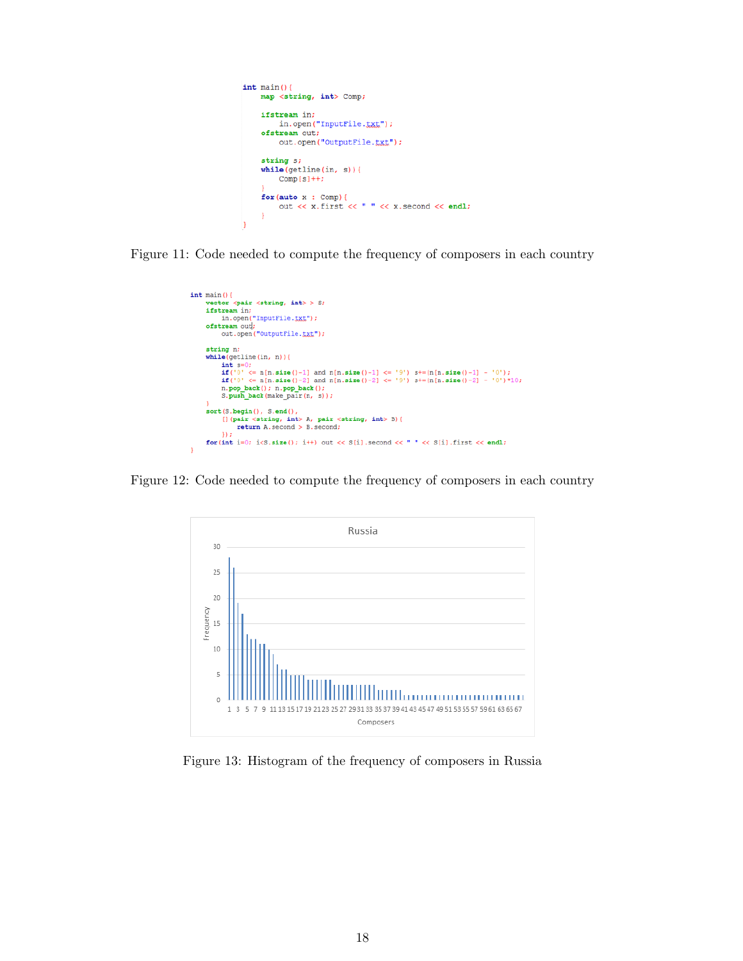```
int \text{main}()map <string, int> Comp;
      ifstream in;
            in.open("InputFile.txt");ofstream out;
            out.open("OutputFile.txt");
      string s;
      while (getline(in, s))Comp[s]++;\begin{array}{ll}\n\texttt{for}(\texttt{auto x : Comp}) {\upharpoonright} & \texttt{out} << x.\texttt{first} << " " << x.\texttt{second} << \texttt{endl})\n\end{array}J
```
Figure 11: Code needed to compute the frequency of composers in each country

```
int \text{ main}()vector <pair <string, int> > S;
        vector spart sering, int> > 5;<br>
ifstraam in;<br>
in.open("InputFile.ixi");<br>
ofstraam out;<br>
out.open("OutputFile.ixi");
         string n;
        strang n:<br>
while (getline (in, n)) {<br>
int s=0;<br>
\text{if('0'} < = n[n.size()-1] \text{ and } n[n.size()-1] <= '9') \text{ s+=}(n[n.size()-1] - '0');<br>
\text{if('0'} < = n[n.size()-2] \text{ and } n[n.size()-2] <= '9') \text{ s+=}(n[n.size()-2] - '0') \times 10;<br>
n.pop\_back(); n.pop\_back();<br>
S.push_back (make_pair (n, s));
         sort(S.\text{begin})), S.end(),
                 [] (pair <string, int> A, pair <string, int> B) (<br>return A.second > B.second;
                  n.
        \texttt{for(int i=0; i<3.size(); i++) out << S[i].second << " " << S[i].first << endl;}
```
Figure 12: Code needed to compute the frequency of composers in each country



Figure 13: Histogram of the frequency of composers in Russia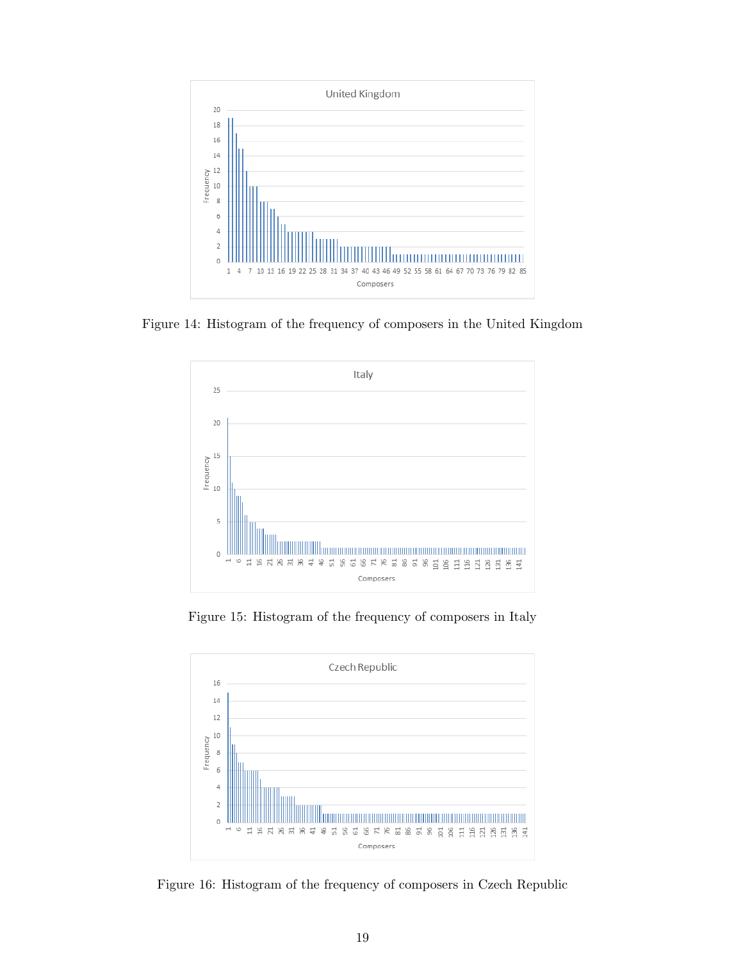

Figure 14: Histogram of the frequency of composers in the United Kingdom



Figure 15: Histogram of the frequency of composers in Italy



Figure 16: Histogram of the frequency of composers in Czech Republic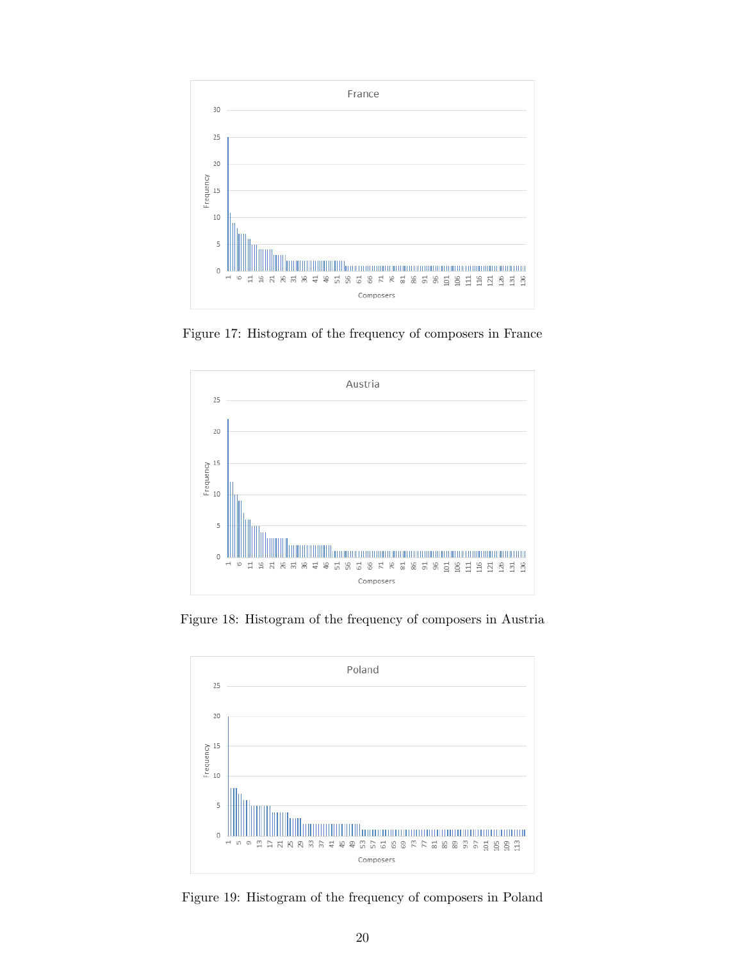

Figure 17: Histogram of the frequency of composers in France



Figure 18: Histogram of the frequency of composers in Austria



Figure 19: Histogram of the frequency of composers in Poland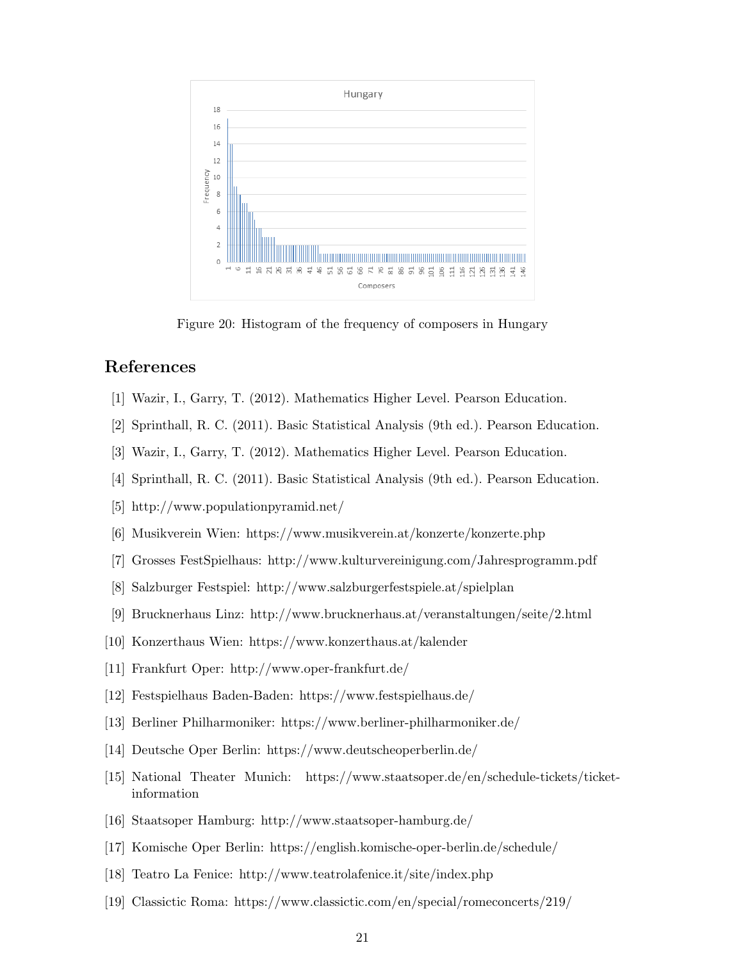

Figure 20: Histogram of the frequency of composers in Hungary

# References

- [1] Wazir, I., Garry, T. (2012). Mathematics Higher Level. Pearson Education.
- [2] Sprinthall, R. C. (2011). Basic Statistical Analysis (9th ed.). Pearson Education.
- [3] Wazir, I., Garry, T. (2012). Mathematics Higher Level. Pearson Education.
- [4] Sprinthall, R. C. (2011). Basic Statistical Analysis (9th ed.). Pearson Education.
- [5] http://www.populationpyramid.net/
- [6] Musikverein Wien: https://www.musikverein.at/konzerte/konzerte.php
- [7] Grosses FestSpielhaus: http://www.kulturvereinigung.com/Jahresprogramm.pdf
- [8] Salzburger Festspiel: http://www.salzburgerfestspiele.at/spielplan
- [9] Brucknerhaus Linz: http://www.brucknerhaus.at/veranstaltungen/seite/2.html
- [10] Konzerthaus Wien: https://www.konzerthaus.at/kalender
- [11] Frankfurt Oper: http://www.oper-frankfurt.de/
- [12] Festspielhaus Baden-Baden: https://www.festspielhaus.de/
- [13] Berliner Philharmoniker: https://www.berliner-philharmoniker.de/
- [14] Deutsche Oper Berlin: https://www.deutscheoperberlin.de/
- [15] National Theater Munich: https://www.staatsoper.de/en/schedule-tickets/ticketinformation
- [16] Staatsoper Hamburg: http://www.staatsoper-hamburg.de/
- [17] Komische Oper Berlin: https://english.komische-oper-berlin.de/schedule/
- [18] Teatro La Fenice: http://www.teatrolafenice.it/site/index.php
- [19] Classictic Roma: https://www.classictic.com/en/special/romeconcerts/219/